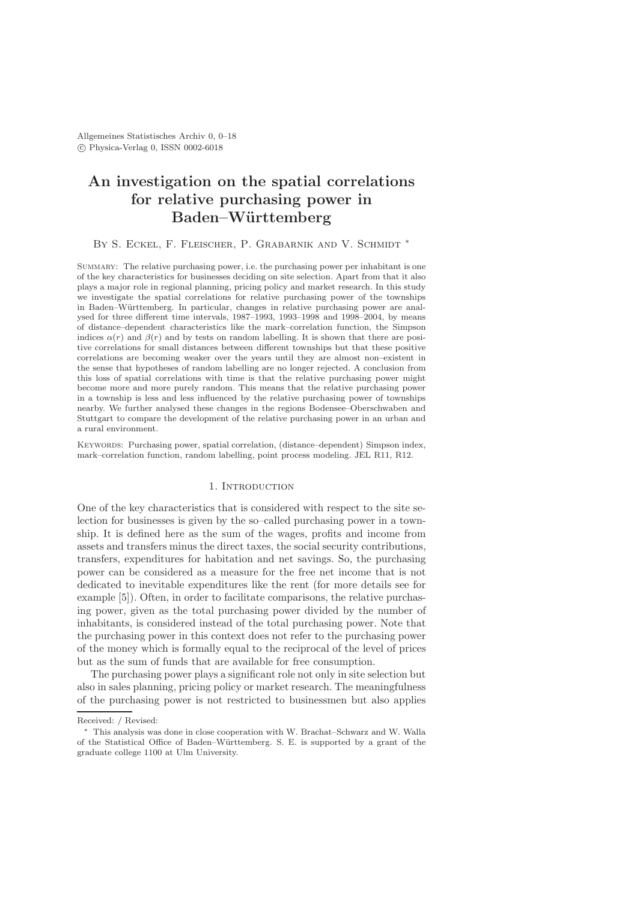# An investigation on the spatial correlations for relative purchasing power in Baden–Württemberg

### BY S. ECKEL, F. FLEISCHER, P. GRABARNIK AND V. SCHMIDT \*

SUMMARY: The relative purchasing power, i.e. the purchasing power per inhabitant is one of the key characteristics for businesses deciding on site selection. Apart from that it also plays a major role in regional planning, pricing policy and market research. In this study we investigate the spatial correlations for relative purchasing power of the townships in Baden–Württemberg. In particular, changes in relative purchasing power are analysed for three different time intervals, 1987–1993, 1993–1998 and 1998–2004, by means of distance–dependent characteristics like the mark–correlation function, the Simpson indices  $\alpha(r)$  and  $\beta(r)$  and by tests on random labelling. It is shown that there are positive correlations for small distances between different townships but that these positive correlations are becoming weaker over the years until they are almost non–existent in the sense that hypotheses of random labelling are no longer rejected. A conclusion from this loss of spatial correlations with time is that the relative purchasing power might become more and more purely random. This means that the relative purchasing power in a township is less and less influenced by the relative purchasing power of townships nearby. We further analysed these changes in the regions Bodensee–Oberschwaben and Stuttgart to compare the development of the relative purchasing power in an urban and a rural environment.

Keywords: Purchasing power, spatial correlation, (distance–dependent) Simpson index, mark–correlation function, random labelling, point process modeling. JEL R11, R12.

# 1. INTRODUCTION

One of the key characteristics that is considered with respect to the site selection for businesses is given by the so–called purchasing power in a township. It is defined here as the sum of the wages, profits and income from assets and transfers minus the direct taxes, the social security contributions, transfers, expenditures for habitation and net savings. So, the purchasing power can be considered as a measure for the free net income that is not dedicated to inevitable expenditures like the rent (for more details see for example [5]). Often, in order to facilitate comparisons, the relative purchasing power, given as the total purchasing power divided by the number of inhabitants, is considered instead of the total purchasing power. Note that the purchasing power in this context does not refer to the purchasing power of the money which is formally equal to the reciprocal of the level of prices but as the sum of funds that are available for free consumption.

The purchasing power plays a significant role not only in site selection but also in sales planning, pricing policy or market research. The meaningfulness of the purchasing power is not restricted to businessmen but also applies

Received: / Revised:

<sup>∗</sup> This analysis was done in close cooperation with W. Brachat–Schwarz and W. Walla of the Statistical Office of Baden–W¨urttemberg. S. E. is supported by a grant of the graduate college 1100 at Ulm University.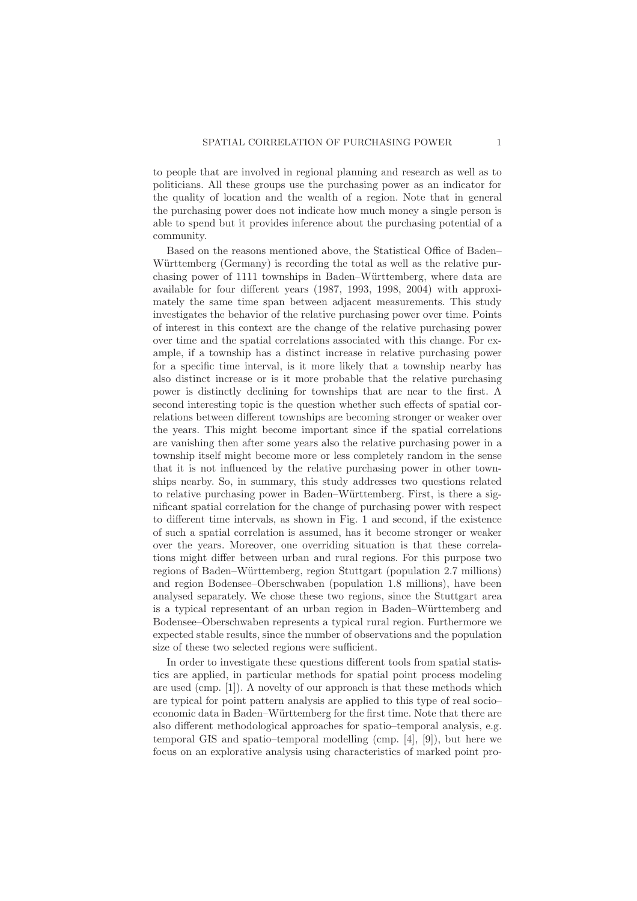to people that are involved in regional planning and research as well as to politicians. All these groups use the purchasing power as an indicator for the quality of location and the wealth of a region. Note that in general the purchasing power does not indicate how much money a single person is able to spend but it provides inference about the purchasing potential of a community.

Based on the reasons mentioned above, the Statistical Office of Baden– Württemberg (Germany) is recording the total as well as the relative purchasing power of 1111 townships in Baden–Württemberg, where data are available for four different years (1987, 1993, 1998, 2004) with approximately the same time span between adjacent measurements. This study investigates the behavior of the relative purchasing power over time. Points of interest in this context are the change of the relative purchasing power over time and the spatial correlations associated with this change. For example, if a township has a distinct increase in relative purchasing power for a specific time interval, is it more likely that a township nearby has also distinct increase or is it more probable that the relative purchasing power is distinctly declining for townships that are near to the first. A second interesting topic is the question whether such effects of spatial correlations between different townships are becoming stronger or weaker over the years. This might become important since if the spatial correlations are vanishing then after some years also the relative purchasing power in a township itself might become more or less completely random in the sense that it is not influenced by the relative purchasing power in other townships nearby. So, in summary, this study addresses two questions related to relative purchasing power in Baden–Württemberg. First, is there a significant spatial correlation for the change of purchasing power with respect to different time intervals, as shown in Fig. 1 and second, if the existence of such a spatial correlation is assumed, has it become stronger or weaker over the years. Moreover, one overriding situation is that these correlations might differ between urban and rural regions. For this purpose two regions of Baden–Württemberg, region Stuttgart (population 2.7 millions) and region Bodensee–Oberschwaben (population 1.8 millions), have been analysed separately. We chose these two regions, since the Stuttgart area is a typical representant of an urban region in Baden–Württemberg and Bodensee–Oberschwaben represents a typical rural region. Furthermore we expected stable results, since the number of observations and the population size of these two selected regions were sufficient.

In order to investigate these questions different tools from spatial statistics are applied, in particular methods for spatial point process modeling are used (cmp. [1]). A novelty of our approach is that these methods which are typical for point pattern analysis are applied to this type of real socio– economic data in Baden–W¨urttemberg for the first time. Note that there are also different methodological approaches for spatio–temporal analysis, e.g. temporal GIS and spatio–temporal modelling (cmp. [4], [9]), but here we focus on an explorative analysis using characteristics of marked point pro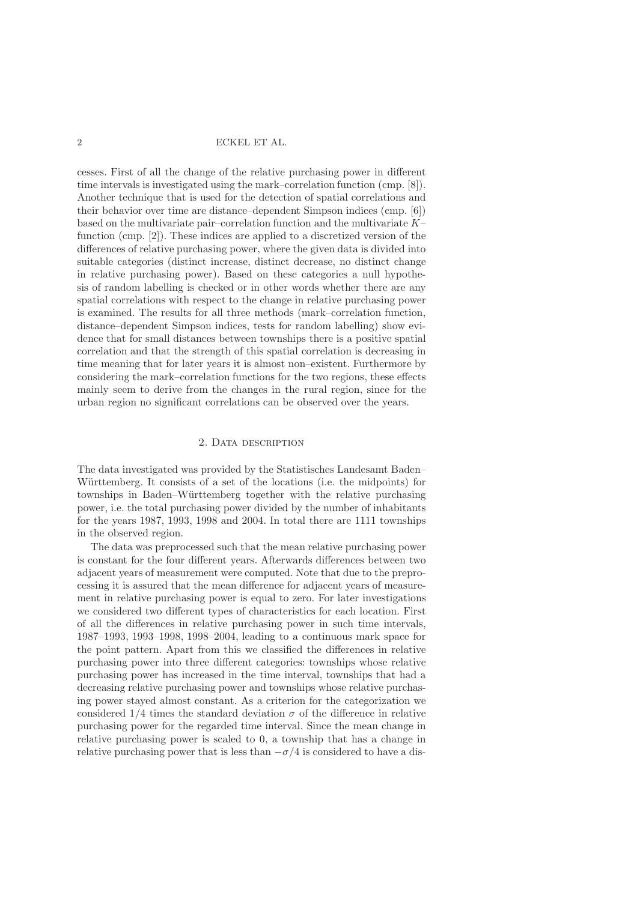cesses. First of all the change of the relative purchasing power in different time intervals is investigated using the mark–correlation function (cmp. [8]). Another technique that is used for the detection of spatial correlations and their behavior over time are distance–dependent Simpson indices (cmp. [6]) based on the multivariate pair–correlation function and the multivariate K– function (cmp. [2]). These indices are applied to a discretized version of the differences of relative purchasing power, where the given data is divided into suitable categories (distinct increase, distinct decrease, no distinct change in relative purchasing power). Based on these categories a null hypothesis of random labelling is checked or in other words whether there are any spatial correlations with respect to the change in relative purchasing power is examined. The results for all three methods (mark–correlation function, distance–dependent Simpson indices, tests for random labelling) show evidence that for small distances between townships there is a positive spatial correlation and that the strength of this spatial correlation is decreasing in time meaning that for later years it is almost non–existent. Furthermore by considering the mark–correlation functions for the two regions, these effects mainly seem to derive from the changes in the rural region, since for the urban region no significant correlations can be observed over the years.

# 2. Data description

The data investigated was provided by the Statistisches Landesamt Baden– Württemberg. It consists of a set of the locations (i.e. the midpoints) for townships in Baden–W¨urttemberg together with the relative purchasing power, i.e. the total purchasing power divided by the number of inhabitants for the years 1987, 1993, 1998 and 2004. In total there are 1111 townships in the observed region.

The data was preprocessed such that the mean relative purchasing power is constant for the four different years. Afterwards differences between two adjacent years of measurement were computed. Note that due to the preprocessing it is assured that the mean difference for adjacent years of measurement in relative purchasing power is equal to zero. For later investigations we considered two different types of characteristics for each location. First of all the differences in relative purchasing power in such time intervals, 1987–1993, 1993–1998, 1998–2004, leading to a continuous mark space for the point pattern. Apart from this we classified the differences in relative purchasing power into three different categories: townships whose relative purchasing power has increased in the time interval, townships that had a decreasing relative purchasing power and townships whose relative purchasing power stayed almost constant. As a criterion for the categorization we considered  $1/4$  times the standard deviation  $\sigma$  of the difference in relative purchasing power for the regarded time interval. Since the mean change in relative purchasing power is scaled to 0, a township that has a change in relative purchasing power that is less than  $-\sigma/4$  is considered to have a dis-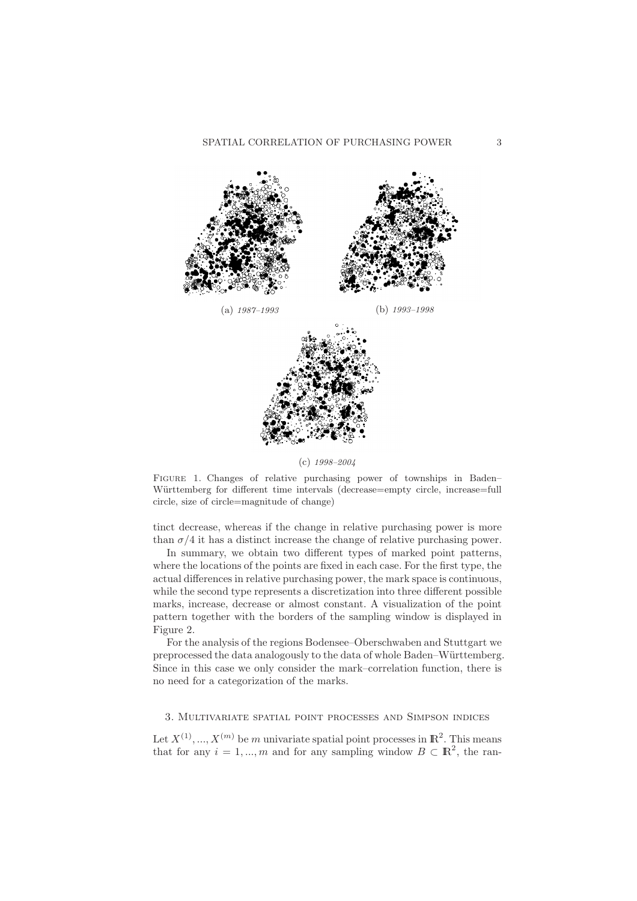

(c) 1998–2004

FIGURE 1. Changes of relative purchasing power of townships in Baden– Württemberg for different time intervals (decrease=empty circle, increase=full circle, size of circle=magnitude of change)

tinct decrease, whereas if the change in relative purchasing power is more than  $\sigma/4$  it has a distinct increase the change of relative purchasing power.

In summary, we obtain two different types of marked point patterns, where the locations of the points are fixed in each case. For the first type, the actual differences in relative purchasing power, the mark space is continuous, while the second type represents a discretization into three different possible marks, increase, decrease or almost constant. A visualization of the point pattern together with the borders of the sampling window is displayed in Figure 2.

For the analysis of the regions Bodensee–Oberschwaben and Stuttgart we preprocessed the data analogously to the data of whole Baden–Württemberg. Since in this case we only consider the mark–correlation function, there is no need for a categorization of the marks.

## 3. Multivariate spatial point processes and Simpson indices

Let  $X^{(1)},...,X^{(m)}$  be m univariate spatial point processes in  $\mathbb{R}^2$ . This means that for any  $i = 1, ..., m$  and for any sampling window  $B \subset \mathbb{R}^2$ , the ran-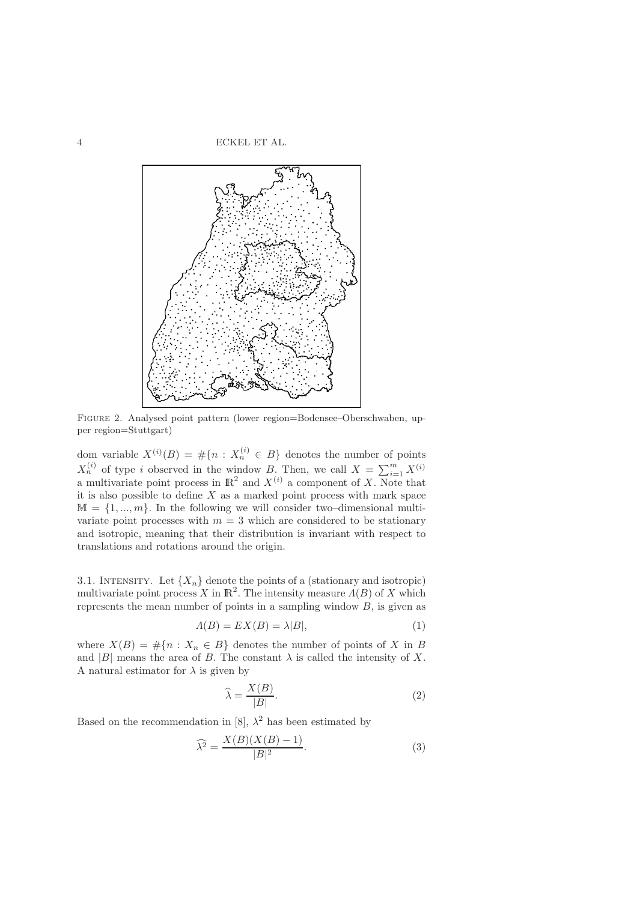

Figure 2. Analysed point pattern (lower region=Bodensee–Oberschwaben, upper region=Stuttgart)

dom variable  $X^{(i)}(B) = \#\{n : X_n^{(i)} \in B\}$  denotes the number of points  $X_n^{(i)}$  of type i observed in the window B. Then, we call  $X = \sum_{i=1}^m X_i^{(i)}$ a multivariate point process in  $\mathbb{R}^2$  and  $X^{(i)}$  a component of X. Note that it is also possible to define  $X$  as a marked point process with mark space  $M = \{1, ..., m\}$ . In the following we will consider two–dimensional multivariate point processes with  $m = 3$  which are considered to be stationary and isotropic, meaning that their distribution is invariant with respect to translations and rotations around the origin.

3.1. INTENSITY. Let  $\{X_n\}$  denote the points of a (stationary and isotropic) multivariate point process X in  $\mathbb{R}^2$ . The intensity measure  $\Lambda(B)$  of X which represents the mean number of points in a sampling window B, is given as

$$
A(B) = EX(B) = \lambda |B|,
$$
\n(1)

where  $X(B) = \#\{n : X_n \in B\}$  denotes the number of points of X in B and  $|B|$  means the area of B. The constant  $\lambda$  is called the intensity of X. A natural estimator for  $\lambda$  is given by

$$
\widehat{\lambda} = \frac{X(B)}{|B|}.\tag{2}
$$

Based on the recommendation in [8],  $\lambda^2$  has been estimated by

$$
\widehat{\lambda^2} = \frac{X(B)(X(B) - 1)}{|B|^2}.
$$
\n(3)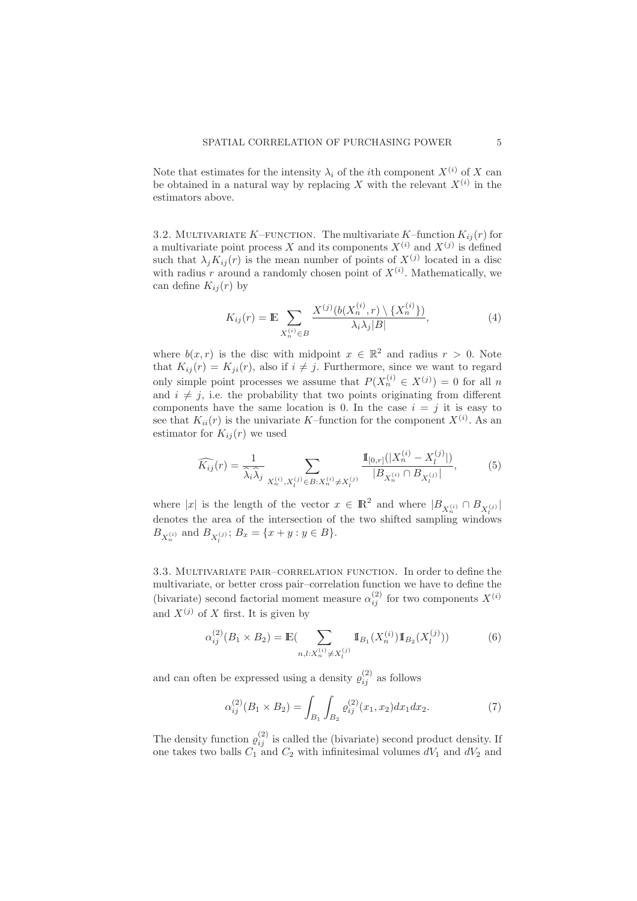Note that estimates for the intensity  $\lambda_i$  of the *i*th component  $X^{(i)}$  of X can be obtained in a natural way by replacing X with the relevant  $X^{(i)}$  in the estimators above.

3.2. MULTIVARIATE K–FUNCTION. The multivariate K–function  $K_{ij}(r)$  for a multivariate point process X and its components  $X^{(i)}$  and  $X^{(j)}$  is defined such that  $\lambda_j K_{ij}(r)$  is the mean number of points of  $X^{(j)}$  located in a disc with radius r around a randomly chosen point of  $X^{(i)}$ . Mathematically, we can define  $K_{ij}(r)$  by

$$
K_{ij}(r) = \mathbb{E} \sum_{X_n^{(i)} \in B} \frac{X^{(j)}(b(X_n^{(i)}, r) \setminus \{X_n^{(i)}\})}{\lambda_i \lambda_j |B|},\tag{4}
$$

where  $b(x,r)$  is the disc with midpoint  $x \in \mathbb{R}^2$  and radius  $r > 0$ . Note that  $K_{ij}(r) = K_{ji}(r)$ , also if  $i \neq j$ . Furthermore, since we want to regard only simple point processes we assume that  $P(X_n^{(i)} \in X^{(j)}) = 0$  for all n and  $i \neq j$ , i.e. the probability that two points originating from different components have the same location is 0. In the case  $i = j$  it is easy to see that  $K_{ii}(r)$  is the univariate K-function for the component  $X^{(i)}$ . As an estimator for  $K_{ij}(r)$  we used

$$
\widehat{K_{ij}}(r) = \frac{1}{\widehat{\lambda}_i \widehat{\lambda}_j} \sum_{X_n^{(i)}, X_l^{(j)} \in B: X_n^{(i)} \neq X_l^{(j)}} \frac{\mathbb{I}_{[0,r]}(|X_n^{(i)} - X_l^{(j)}|)}{|B_{X_n^{(i)}} \cap B_{X_l^{(j)}}|},\tag{5}
$$

where |x| is the length of the vector  $x \in \mathbb{R}^2$  and where  $|B_{X_n^{(i)}} \cap B_{X_n^{(j)}}|$ denotes the area of the intersection of the two shifted sampling windows  $B_{X_n^{(i)}}$  and  $B_{X_l^{(j)}}$ ;  $B_x = \{x + y : y \in B\}.$ 

3.3. Multivariate pair–correlation function. In order to define the multivariate, or better cross pair–correlation function we have to define the (bivariate) second factorial moment measure  $\alpha_{ij}^{(2)}$  for two components  $X^{(i)}$ and  $X^{(j)}$  of X first. It is given by

$$
\alpha_{ij}^{(2)}(B_1 \times B_2) = \mathbb{E}(\sum_{n,l:X_n^{(i)} \neq X_l^{(j)}} \mathbb{1}_{B_1}(X_n^{(i)}) \mathbb{1}_{B_2}(X_l^{(j)}))
$$
(6)

and can often be expressed using a density  $\rho_{ij}^{(2)}$  as follows

$$
\alpha_{ij}^{(2)}(B_1 \times B_2) = \int_{B_1} \int_{B_2} \varrho_{ij}^{(2)}(x_1, x_2) dx_1 dx_2.
$$
 (7)

The density function  $\varrho_{ij}^{(2)}$  is called the (bivariate) second product density. If one takes two balls  $C_1$  and  $C_2$  with infinitesimal volumes  $dV_1$  and  $dV_2$  and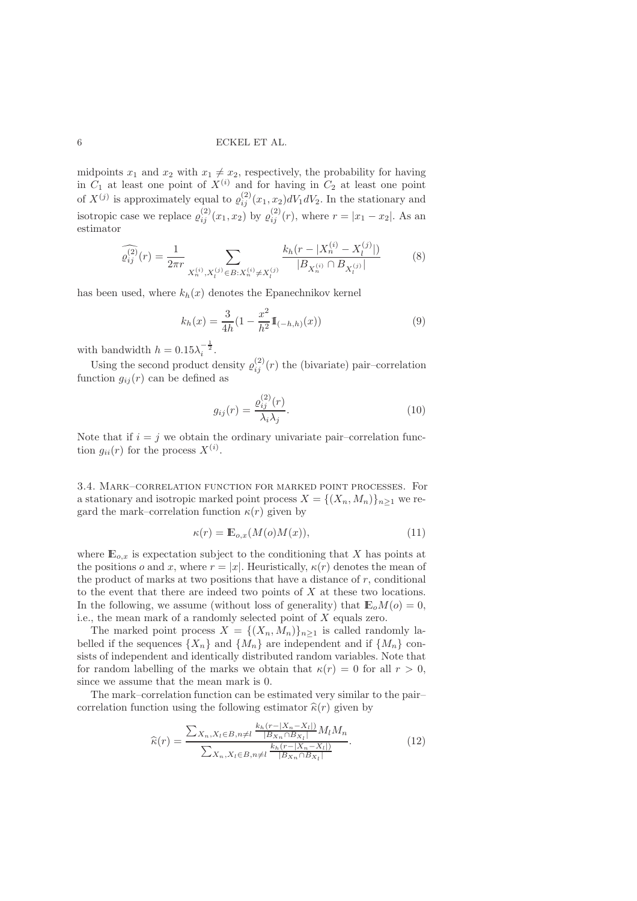midpoints  $x_1$  and  $x_2$  with  $x_1 \neq x_2$ , respectively, the probability for having in  $C_1$  at least one point of  $X^{(i)}$  and for having in  $C_2$  at least one point of  $X^{(j)}$  is approximately equal to  $\varrho_{ij}^{(2)}(x_1, x_2)dV_1dV_2$ . In the stationary and isotropic case we replace  $\varrho_{ij}^{(2)}(x_1, x_2)$  by  $\varrho_{ij}^{(2)}(r)$ , where  $r = |x_1 - x_2|$ . As an estimator

$$
\widehat{\varrho_{ij}^{(2)}}(r) = \frac{1}{2\pi r} \sum_{X_n^{(i)}, X_l^{(j)} \in B: X_n^{(i)} \neq X_l^{(j)}} \frac{k_h(r - |X_n^{(i)} - X_l^{(j)}|)}{|B_{X_n^{(i)}} \cap B_{X_l^{(j)}}|}
$$
(8)

has been used, where  $k_h(x)$  denotes the Epanechnikov kernel

$$
k_h(x) = \frac{3}{4h} \left( 1 - \frac{x^2}{h^2} \mathbb{I}_{(-h,h)}(x) \right) \tag{9}
$$

with bandwidth  $h = 0.15\lambda_i^{-\frac{1}{2}}$ .

Using the second product density  $\varrho_{ij}^{(2)}(r)$  the (bivariate) pair-correlation function  $g_{ij}(r)$  can be defined as

$$
g_{ij}(r) = \frac{\varrho_{ij}^{(2)}(r)}{\lambda_i \lambda_j}.
$$
\n(10)

Note that if  $i = j$  we obtain the ordinary univariate pair-correlation function  $g_{ii}(r)$  for the process  $X^{(i)}$ .

3.4. Mark–correlation function for marked point processes. For a stationary and isotropic marked point process  $X = \{(X_n, M_n)\}_{n>1}$  we regard the mark–correlation function  $\kappa(r)$  given by

$$
\kappa(r) = \mathbb{E}_{o,x}(M(o)M(x)),\tag{11}
$$

where  $\mathbb{E}_{o,x}$  is expectation subject to the conditioning that X has points at the positions o and x, where  $r = |x|$ . Heuristically,  $\kappa(r)$  denotes the mean of the product of marks at two positions that have a distance of  $r$ , conditional to the event that there are indeed two points of X at these two locations. In the following, we assume (without loss of generality) that  $\mathbb{E}_{o}M(o) = 0$ , i.e., the mean mark of a randomly selected point of X equals zero.

The marked point process  $X = \{(X_n, M_n)\}_{n \geq 1}$  is called randomly labelled if the sequences  $\{X_n\}$  and  $\{M_n\}$  are independent and if  $\{M_n\}$  consists of independent and identically distributed random variables. Note that for random labelling of the marks we obtain that  $\kappa(r) = 0$  for all  $r > 0$ , since we assume that the mean mark is 0.

The mark–correlation function can be estimated very similar to the pair– correlation function using the following estimator  $\hat{\kappa}(r)$  given by

$$
\widehat{\kappa}(r) = \frac{\sum_{X_n, X_l \in B, n \neq l} \frac{k_h(r - |X_n - X_l|)}{|B_{X_n} \cap B_{X_l}|} M_l M_n}{\sum_{X_n, X_l \in B, n \neq l} \frac{k_h(r - |X_n - X_l|)}{|B_{X_n} \cap B_{X_l}|}}.
$$
(12)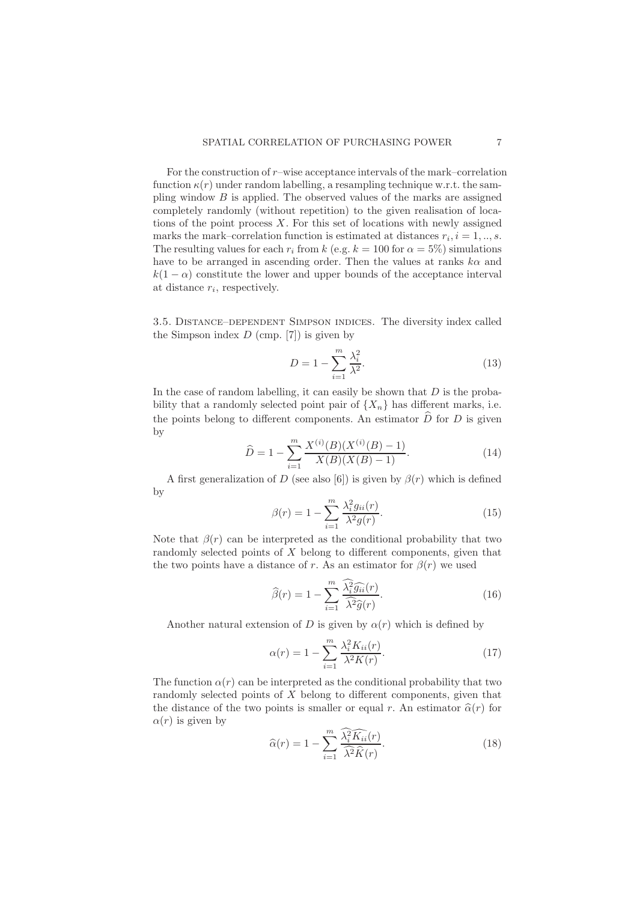For the construction of  $r$ –wise acceptance intervals of the mark–correlation function  $\kappa(r)$  under random labelling, a resampling technique w.r.t. the sampling window  $B$  is applied. The observed values of the marks are assigned completely randomly (without repetition) to the given realisation of locations of the point process  $X$ . For this set of locations with newly assigned marks the mark–correlation function is estimated at distances  $r_i$ ,  $i = 1, ..., s$ . The resulting values for each  $r_i$  from k (e.g.  $k = 100$  for  $\alpha = 5\%$ ) simulations have to be arranged in ascending order. Then the values at ranks  $k\alpha$  and  $k(1 - \alpha)$  constitute the lower and upper bounds of the acceptance interval at distance  $r_i$ , respectively.

3.5. Distance–dependent Simpson indices. The diversity index called the Simpson index  $D$  (cmp. [7]) is given by

$$
D = 1 - \sum_{i=1}^{m} \frac{\lambda_i^2}{\lambda^2}.
$$
\n(13)

In the case of random labelling, it can easily be shown that  $D$  is the probability that a randomly selected point pair of  $\{X_n\}$  has different marks, i.e. the points belong to different components. An estimator  $\widehat{D}$  for D is given by

$$
\widehat{D} = 1 - \sum_{i=1}^{m} \frac{X^{(i)}(B)(X^{(i)}(B) - 1)}{X(B)(X(B) - 1)}.
$$
\n(14)

A first generalization of D (see also [6]) is given by  $\beta(r)$  which is defined by

$$
\beta(r) = 1 - \sum_{i=1}^{m} \frac{\lambda_i^2 g_{ii}(r)}{\lambda^2 g(r)}.
$$
\n(15)

Note that  $\beta(r)$  can be interpreted as the conditional probability that two randomly selected points of X belong to different components, given that the two points have a distance of r. As an estimator for  $\beta(r)$  we used

$$
\widehat{\beta}(r) = 1 - \sum_{i=1}^{m} \frac{\widehat{\lambda_i^2} \widehat{g_{ii}}(r)}{\widehat{\lambda^2} \widehat{g}(r)}.
$$
\n(16)

Another natural extension of D is given by  $\alpha(r)$  which is defined by

$$
\alpha(r) = 1 - \sum_{i=1}^{m} \frac{\lambda_i^2 K_{ii}(r)}{\lambda^2 K(r)}.
$$
\n(17)

The function  $\alpha(r)$  can be interpreted as the conditional probability that two randomly selected points of X belong to different components, given that the distance of the two points is smaller or equal r. An estimator  $\hat{\alpha}(r)$  for  $\alpha(r)$  is given by

$$
\widehat{\alpha}(r) = 1 - \sum_{i=1}^{m} \frac{\widehat{\lambda_i^2 K_{ii}}(r)}{\widehat{\lambda^2 K}(r)}.
$$
\n(18)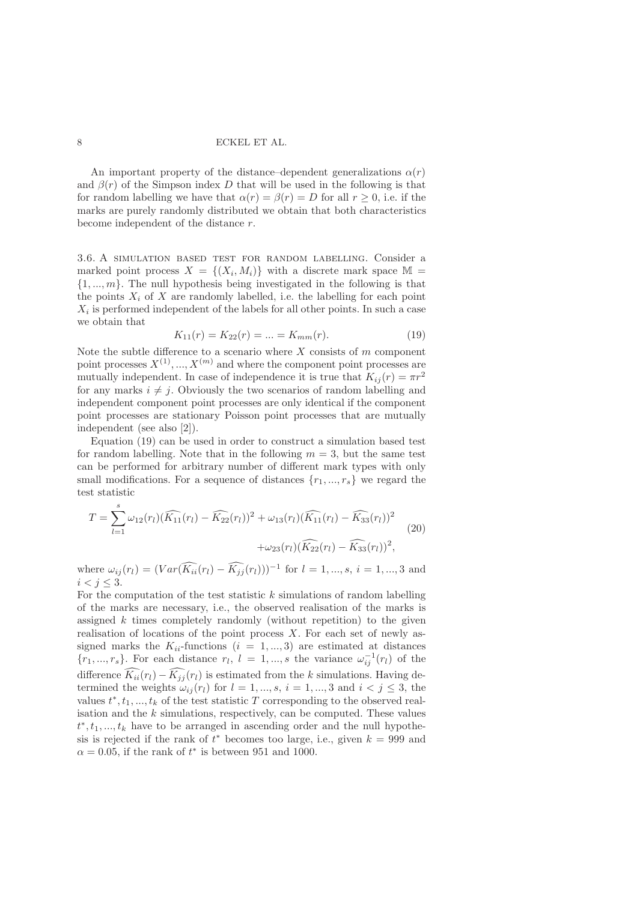An important property of the distance–dependent generalizations  $\alpha(r)$ and  $\beta(r)$  of the Simpson index D that will be used in the following is that for random labelling we have that  $\alpha(r) = \beta(r) = D$  for all  $r > 0$ , i.e. if the marks are purely randomly distributed we obtain that both characteristics become independent of the distance r.

3.6. A simulation based test for random labelling. Consider a marked point process  $X = \{(X_i, M_i)\}\$  with a discrete mark space  $\mathbb{M}$  =  $\{1, ..., m\}$ . The null hypothesis being investigated in the following is that the points  $X_i$  of X are randomly labelled, i.e. the labelling for each point  $X_i$  is performed independent of the labels for all other points. In such a case we obtain that

$$
K_{11}(r) = K_{22}(r) = \dots = K_{mm}(r). \tag{19}
$$

Note the subtle difference to a scenario where  $X$  consists of  $m$  component point processes  $X^{(1)}, ..., X^{(m)}$  and where the component point processes are mutually independent. In case of independence it is true that  $K_{ij}(r) = \pi r^2$ for any marks  $i \neq j$ . Obviously the two scenarios of random labelling and independent component point processes are only identical if the component point processes are stationary Poisson point processes that are mutually independent (see also [2]).

Equation (19) can be used in order to construct a simulation based test for random labelling. Note that in the following  $m = 3$ , but the same test can be performed for arbitrary number of different mark types with only small modifications. For a sequence of distances  $\{r_1, ..., r_s\}$  we regard the test statistic

$$
T = \sum_{l=1}^{\infty} \omega_{12}(r_l) (\widehat{K_{11}}(r_l) - \widehat{K_{22}}(r_l))^2 + \omega_{13}(r_l) (\widehat{K_{11}}(r_l) - \widehat{K_{33}}(r_l))^2 + \omega_{23}(r_l) (\widehat{K_{22}}(r_l) - \widehat{K_{33}}(r_l))^2,
$$
\n(20)

where  $\omega_{ij}(r_l) = (Var(\widetilde{K_{ii}}(r_l) - \widetilde{K_{jj}}(r_l)))^{-1}$  for  $l = 1, ..., s, i = 1, ..., 3$  and  $i < j < 3$ .

For the computation of the test statistic  $k$  simulations of random labelling of the marks are necessary, i.e., the observed realisation of the marks is assigned  $k$  times completely randomly (without repetition) to the given realisation of locations of the point process  $X$ . For each set of newly assigned marks the  $K_{ii}$ -functions  $(i = 1, ..., 3)$  are estimated at distances  $\{r_1, ..., r_s\}$ . For each distance  $r_l$ ,  $l = 1, ..., s$  the variance  $\omega_{ij}^{-1}(r_l)$  of the difference  $\widetilde{K_{ii}}(r_l) - \widetilde{K_{jj}}(r_l)$  is estimated from the k simulations. Having determined the weights  $\omega_{ij}(r_l)$  for  $l = 1, ..., s, i = 1, ..., 3$  and  $i < j \leq 3$ , the values  $t^*, t_1, ..., t_k$  of the test statistic T corresponding to the observed realisation and the  $k$  simulations, respectively, can be computed. These values  $t^*, t_1, \ldots, t_k$  have to be arranged in ascending order and the null hypothesis is rejected if the rank of  $t^*$  becomes too large, i.e., given  $k = 999$  and  $\alpha = 0.05$ , if the rank of  $t^*$  is between 951 and 1000.

Xs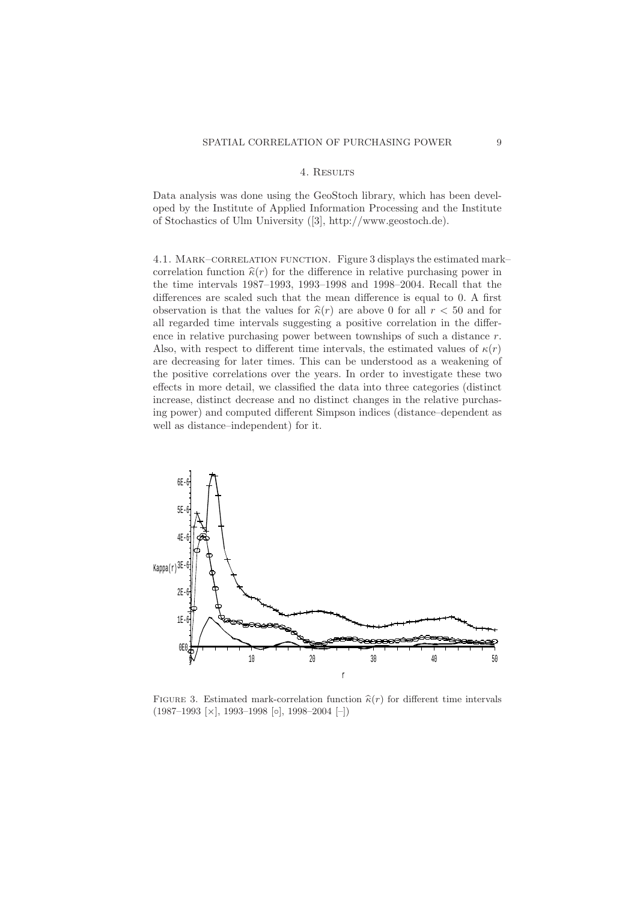# 4. Results

Data analysis was done using the GeoStoch library, which has been developed by the Institute of Applied Information Processing and the Institute of Stochastics of Ulm University ([3], http://www.geostoch.de).

4.1. MARK–CORRELATION FUNCTION. Figure 3 displays the estimated mark– correlation function  $\hat{\kappa}(r)$  for the difference in relative purchasing power in the time intervals 1987–1993, 1993–1998 and 1998–2004. Recall that the differences are scaled such that the mean difference is equal to 0. A first observation is that the values for  $\hat{\kappa}(r)$  are above 0 for all  $r < 50$  and for all regarded time intervals suggesting a positive correlation in the difference in relative purchasing power between townships of such a distance r. Also, with respect to different time intervals, the estimated values of  $\kappa(r)$ are decreasing for later times. This can be understood as a weakening of the positive correlations over the years. In order to investigate these two effects in more detail, we classified the data into three categories (distinct increase, distinct decrease and no distinct changes in the relative purchasing power) and computed different Simpson indices (distance–dependent as well as distance–independent) for it.



FIGURE 3. Estimated mark-correlation function  $\hat{\kappa}(r)$  for different time intervals  $(1987–1993 \;[\times], 1993–1998 \;[\circ], 1998–2004 \;[\text{-}])$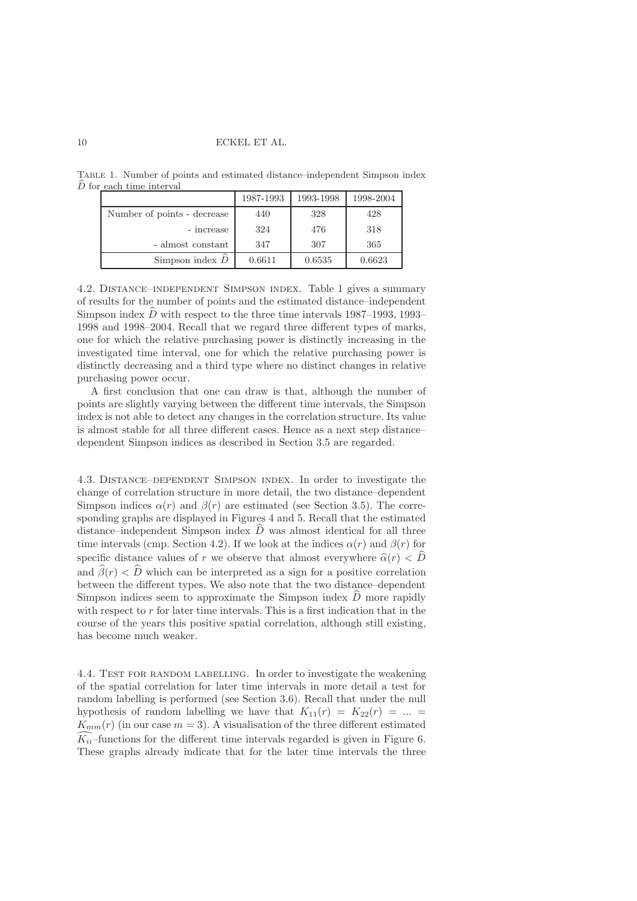Table 1. Number of points and estimated distance–independent Simpson index  $\widehat{D}$  for each time interval

|                             | 1987-1993 | 1993-1998 | 1998-2004 |
|-----------------------------|-----------|-----------|-----------|
| Number of points - decrease | 440       | 328       | 428       |
| - increase                  | 324       | 476       | 318       |
| - almost constant           | 347       | 307       | 365       |
| Simpson index $D$           | 0.6611    | 0.6535    | 0.6623    |

4.2. Distance–independent Simpson index. Table 1 gives a summary of results for the number of points and the estimated distance–independent Simpson index  $D$  with respect to the three time intervals 1987–1993, 1993– 1998 and 1998–2004. Recall that we regard three different types of marks, one for which the relative purchasing power is distinctly increasing in the investigated time interval, one for which the relative purchasing power is distinctly decreasing and a third type where no distinct changes in relative purchasing power occur.

A first conclusion that one can draw is that, although the number of points are slightly varying between the different time intervals, the Simpson index is not able to detect any changes in the correlation structure. Its value is almost stable for all three different cases. Hence as a next step distance– dependent Simpson indices as described in Section 3.5 are regarded.

4.3. Distance–dependent Simpson index. In order to investigate the change of correlation structure in more detail, the two distance–dependent Simpson indices  $\alpha(r)$  and  $\beta(r)$  are estimated (see Section 3.5). The corresponding graphs are displayed in Figures 4 and 5. Recall that the estimated distance–independent Simpson index  $\hat{D}$  was almost identical for all three time intervals (cmp. Section 4.2). If we look at the indices  $\alpha(r)$  and  $\beta(r)$  for specific distance values of r we observe that almost everywhere  $\hat{\alpha}(r) < \hat{D}$ and  $\widehat{\beta}(r) < \widehat{D}$  which can be interpreted as a sign for a positive correlation between the different types. We also note that the two distance–dependent Simpson indices seem to approximate the Simpson index  $\overline{D}$  more rapidly with respect to  $r$  for later time intervals. This is a first indication that in the course of the years this positive spatial correlation, although still existing, has become much weaker.

4.4. TEST FOR RANDOM LABELLING. In order to investigate the weakening of the spatial correlation for later time intervals in more detail a test for random labelling is performed (see Section 3.6). Recall that under the null hypothesis of random labelling we have that  $K_{11}(r) = K_{22}(r) = ...$  $K_{mm}(r)$  (in our case  $m = 3$ ). A visualisation of the three different estimated  $\widetilde{K}_{ii}$ -functions for the different time intervals regarded is given in Figure 6. These graphs already indicate that for the later time intervals the three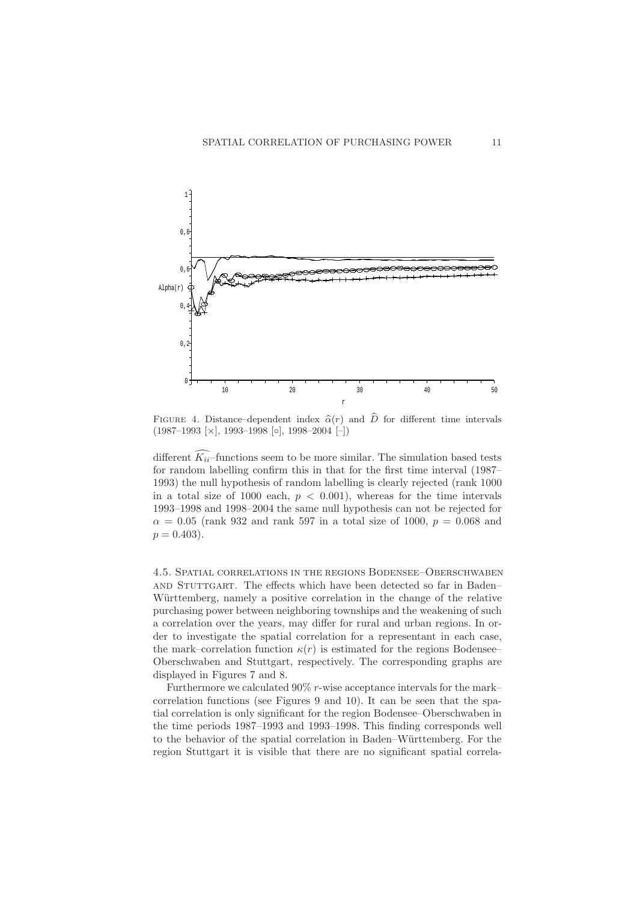

FIGURE 4. Distance–dependent index  $\hat{\alpha}(r)$  and  $\hat{D}$  for different time intervals  $(1987–1993 \;[\times], 1993–1998 \;[\circ], 1998–2004 \;[\text{-}])$ 

different  $\widehat{K_{ii}}$ -functions seem to be more similar. The simulation based tests for random labelling confirm this in that for the first time interval (1987– 1993) the null hypothesis of random labelling is clearly rejected (rank 1000 in a total size of 1000 each,  $p < 0.001$ ), whereas for the time intervals 1993–1998 and 1998–2004 the same null hypothesis can not be rejected for  $\alpha = 0.05$  (rank 932 and rank 597 in a total size of 1000,  $p = 0.068$  and  $p = 0.403$ .

4.5. Spatial correlations in the regions Bodensee–Oberschwaben and Stuttgart. The effects which have been detected so far in Baden– Württemberg, namely a positive correlation in the change of the relative purchasing power between neighboring townships and the weakening of such a correlation over the years, may differ for rural and urban regions. In order to investigate the spatial correlation for a representant in each case, the mark–correlation function  $\kappa(r)$  is estimated for the regions Bodensee– Oberschwaben and Stuttgart, respectively. The corresponding graphs are displayed in Figures 7 and 8.

Furthermore we calculated 90% r-wise acceptance intervals for the mark– correlation functions (see Figures 9 and 10). It can be seen that the spatial correlation is only significant for the region Bodensee–Oberschwaben in the time periods 1987–1993 and 1993–1998. This finding corresponds well to the behavior of the spatial correlation in Baden–Württemberg. For the region Stuttgart it is visible that there are no significant spatial correla-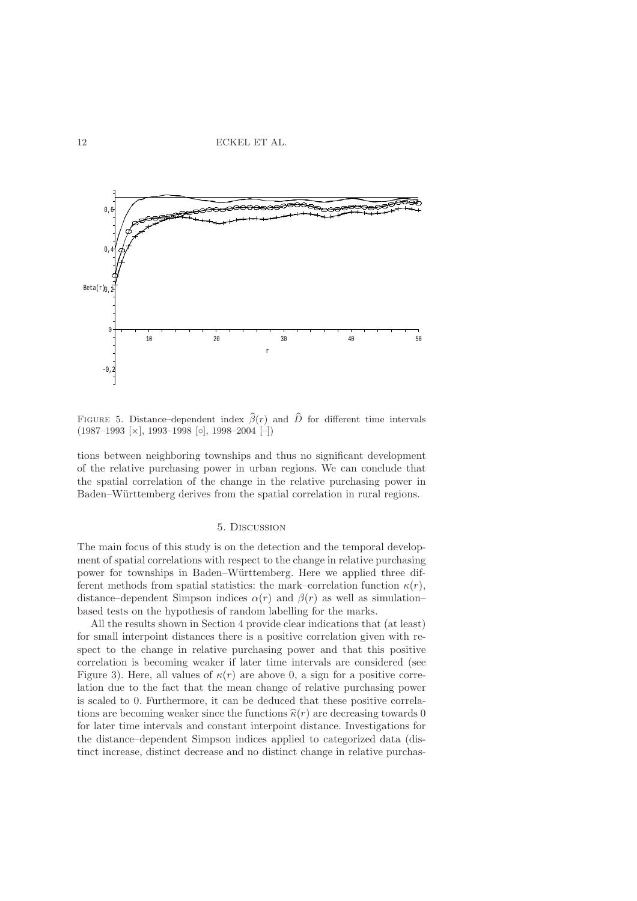

FIGURE 5. Distance–dependent index  $\hat{\beta}(r)$  and  $\hat{D}$  for different time intervals  $(1987–1993 \;[\times], 1993–1998 \;[\circ], 1998–2004 \;[\text{-}])$ 

tions between neighboring townships and thus no significant development of the relative purchasing power in urban regions. We can conclude that the spatial correlation of the change in the relative purchasing power in Baden–Württemberg derives from the spatial correlation in rural regions.

#### 5. Discussion

The main focus of this study is on the detection and the temporal development of spatial correlations with respect to the change in relative purchasing power for townships in Baden–W¨urttemberg. Here we applied three different methods from spatial statistics: the mark–correlation function  $\kappa(r)$ , distance–dependent Simpson indices  $\alpha(r)$  and  $\beta(r)$  as well as simulation– based tests on the hypothesis of random labelling for the marks.

All the results shown in Section 4 provide clear indications that (at least) for small interpoint distances there is a positive correlation given with respect to the change in relative purchasing power and that this positive correlation is becoming weaker if later time intervals are considered (see Figure 3). Here, all values of  $\kappa(r)$  are above 0, a sign for a positive correlation due to the fact that the mean change of relative purchasing power is scaled to 0. Furthermore, it can be deduced that these positive correlations are becoming weaker since the functions  $\hat{\kappa}(r)$  are decreasing towards 0 for later time intervals and constant interpoint distance. Investigations for the distance–dependent Simpson indices applied to categorized data (distinct increase, distinct decrease and no distinct change in relative purchas-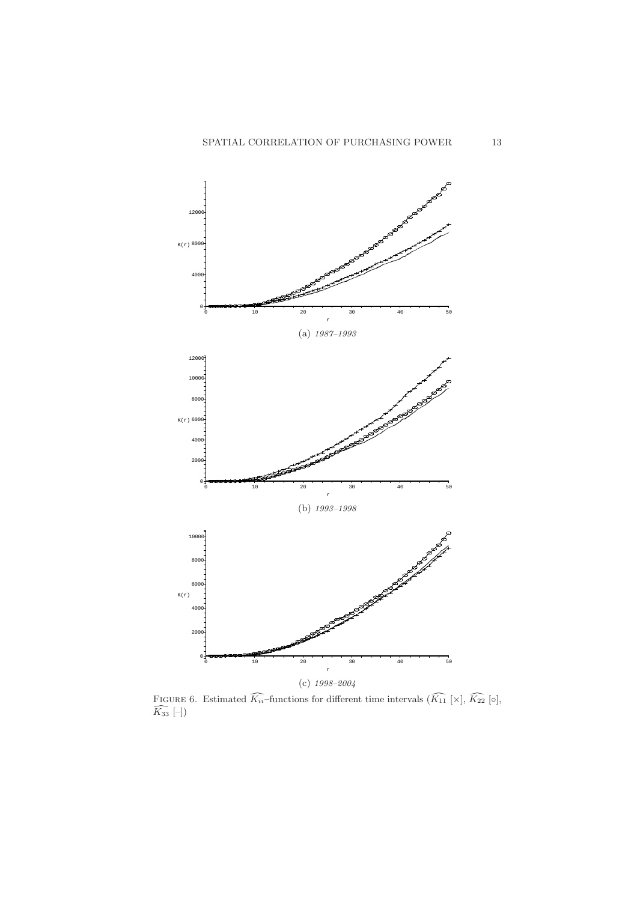

FIGURE 6. Estimated  $\widehat{K_{ii}}$ -functions for different time intervals  $(\widehat{K_{11}} [\times], \widehat{K_{22}} [\circ],$  $K_{33}$   $[-]$ )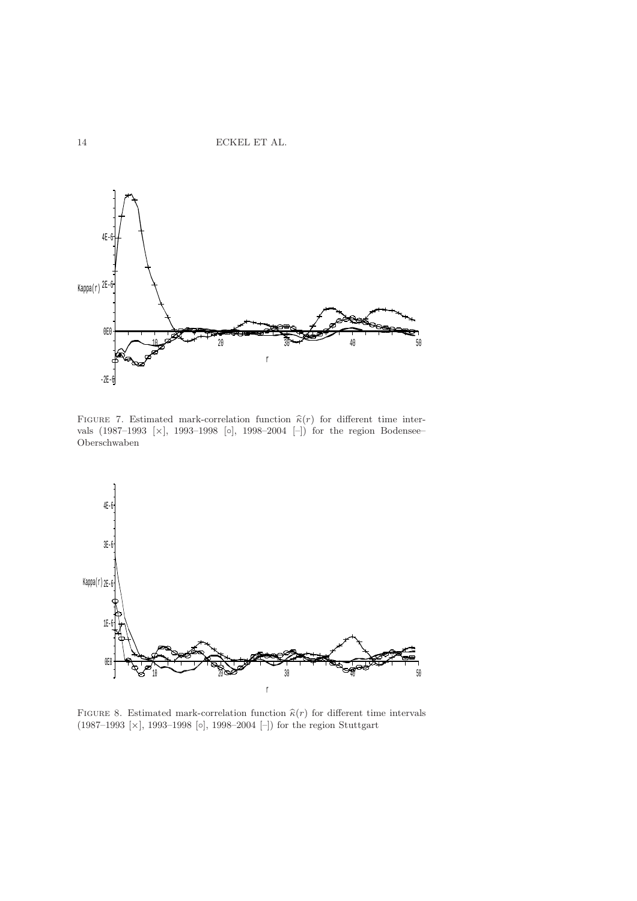

FIGURE 7. Estimated mark-correlation function  $\hat{\kappa}(r)$  for different time intervals  $(1987-1993 \;[\times], 1993-1998 \;[\circ], 1998-2004 \;[\text{-}])$  for the region Bodensee– Oberschwaben



FIGURE 8. Estimated mark-correlation function  $\hat{\kappa}(r)$  for different time intervals (1987–1993 [×], 1993–1998 [◦], 1998–2004 [–]) for the region Stuttgart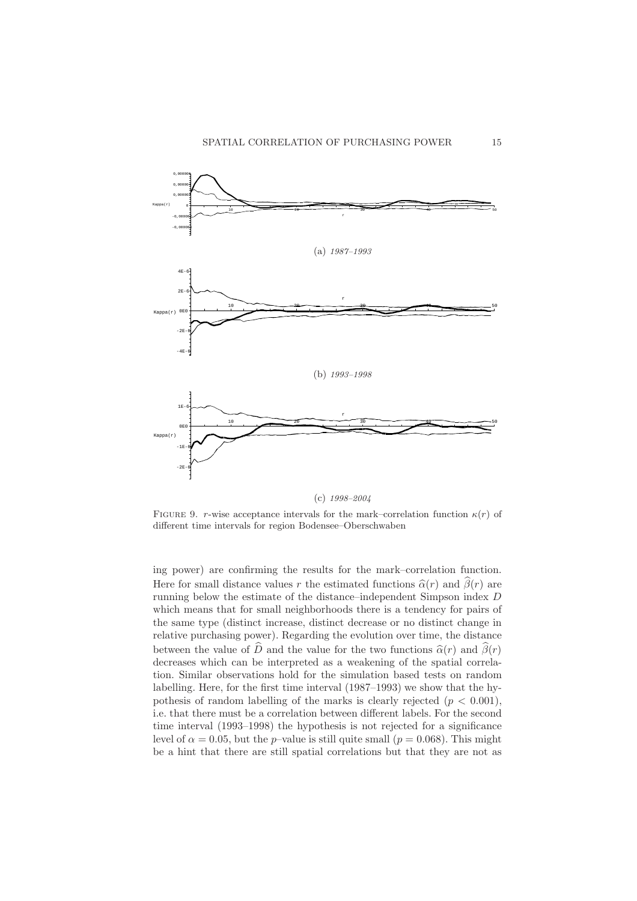

FIGURE 9. r-wise acceptance intervals for the mark–correlation function  $\kappa(r)$  of different time intervals for region Bodensee–Oberschwaben

ing power) are confirming the results for the mark–correlation function. Here for small distance values r the estimated functions  $\hat{\alpha}(r)$  and  $\hat{\beta}(r)$  are running below the estimate of the distance–independent Simpson index D which means that for small neighborhoods there is a tendency for pairs of the same type (distinct increase, distinct decrease or no distinct change in relative purchasing power). Regarding the evolution over time, the distance between the value of  $\widehat{D}$  and the value for the two functions  $\widehat{\alpha}(r)$  and  $\widehat{\beta}(r)$ decreases which can be interpreted as a weakening of the spatial correlation. Similar observations hold for the simulation based tests on random labelling. Here, for the first time interval (1987–1993) we show that the hypothesis of random labelling of the marks is clearly rejected  $(p < 0.001)$ , i.e. that there must be a correlation between different labels. For the second time interval (1993–1998) the hypothesis is not rejected for a significance level of  $\alpha = 0.05$ , but the p–value is still quite small ( $p = 0.068$ ). This might be a hint that there are still spatial correlations but that they are not as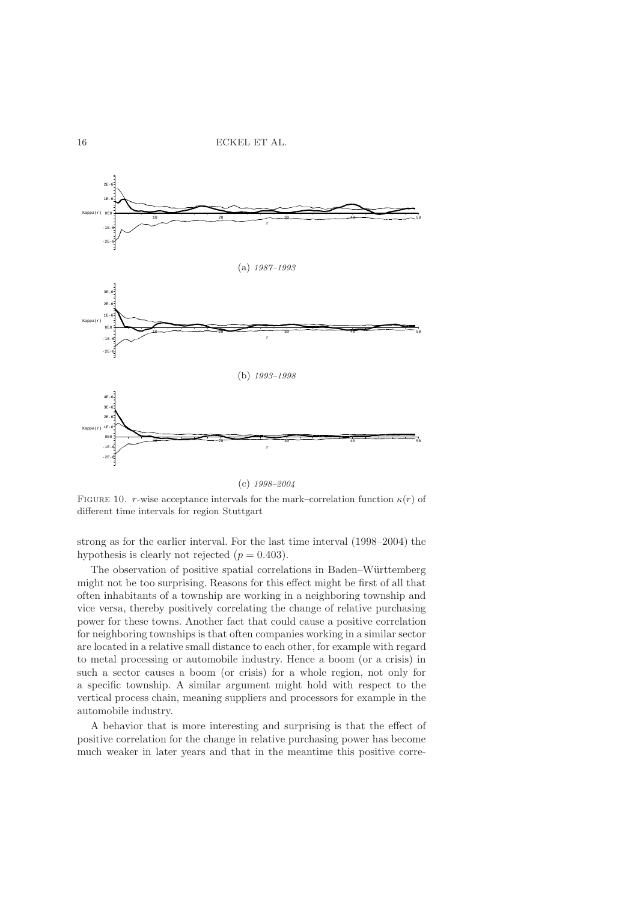

(c) 1998–2004

FIGURE 10. r-wise acceptance intervals for the mark–correlation function  $\kappa(r)$  of different time intervals for region Stuttgart

strong as for the earlier interval. For the last time interval (1998–2004) the hypothesis is clearly not rejected  $(p = 0.403)$ .

The observation of positive spatial correlations in Baden–Württemberg might not be too surprising. Reasons for this effect might be first of all that often inhabitants of a township are working in a neighboring township and vice versa, thereby positively correlating the change of relative purchasing power for these towns. Another fact that could cause a positive correlation for neighboring townships is that often companies working in a similar sector are located in a relative small distance to each other, for example with regard to metal processing or automobile industry. Hence a boom (or a crisis) in such a sector causes a boom (or crisis) for a whole region, not only for a specific township. A similar argument might hold with respect to the vertical process chain, meaning suppliers and processors for example in the automobile industry.

A behavior that is more interesting and surprising is that the effect of positive correlation for the change in relative purchasing power has become much weaker in later years and that in the meantime this positive corre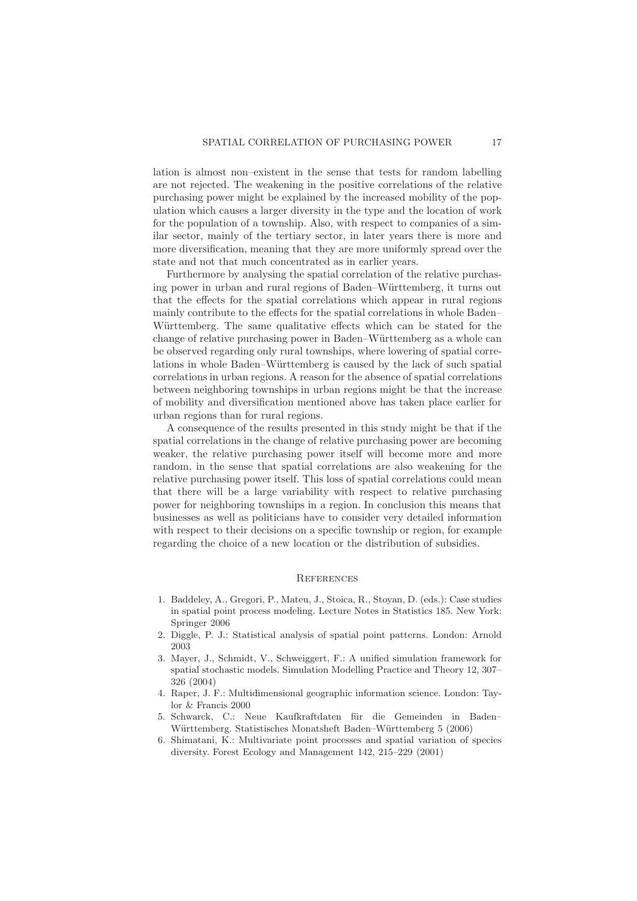lation is almost non–existent in the sense that tests for random labelling are not rejected. The weakening in the positive correlations of the relative purchasing power might be explained by the increased mobility of the population which causes a larger diversity in the type and the location of work for the population of a township. Also, with respect to companies of a similar sector, mainly of the tertiary sector, in later years there is more and more diversification, meaning that they are more uniformly spread over the state and not that much concentrated as in earlier years.

Furthermore by analysing the spatial correlation of the relative purchasing power in urban and rural regions of Baden–Württemberg, it turns out that the effects for the spatial correlations which appear in rural regions mainly contribute to the effects for the spatial correlations in whole Baden– Württemberg. The same qualitative effects which can be stated for the change of relative purchasing power in Baden–Württemberg as a whole can be observed regarding only rural townships, where lowering of spatial correlations in whole Baden–Württemberg is caused by the lack of such spatial correlations in urban regions. A reason for the absence of spatial correlations between neighboring townships in urban regions might be that the increase of mobility and diversification mentioned above has taken place earlier for urban regions than for rural regions.

A consequence of the results presented in this study might be that if the spatial correlations in the change of relative purchasing power are becoming weaker, the relative purchasing power itself will become more and more random, in the sense that spatial correlations are also weakening for the relative purchasing power itself. This loss of spatial correlations could mean that there will be a large variability with respect to relative purchasing power for neighboring townships in a region. In conclusion this means that businesses as well as politicians have to consider very detailed information with respect to their decisions on a specific township or region, for example regarding the choice of a new location or the distribution of subsidies.

#### **REFERENCES**

- 1. Baddeley, A., Gregori, P., Mateu, J., Stoica, R., Stoyan, D. (eds.): Case studies in spatial point process modeling. Lecture Notes in Statistics 185. New York: Springer 2006
- 2. Diggle, P. J.: Statistical analysis of spatial point patterns. London: Arnold 2003
- 3. Mayer, J., Schmidt, V., Schweiggert, F.: A unified simulation framework for spatial stochastic models. Simulation Modelling Practice and Theory 12, 307– 326 (2004)
- 4. Raper, J. F.: Multidimensional geographic information science. London: Taylor & Francis 2000
- 5. Schwarck, C.: Neue Kaufkraftdaten für die Gemeinden in Baden-Württemberg. Statistisches Monatsheft Baden–Württemberg 5 (2006)
- 6. Shimatani, K.: Multivariate point processes and spatial variation of species diversity. Forest Ecology and Management 142, 215–229 (2001)